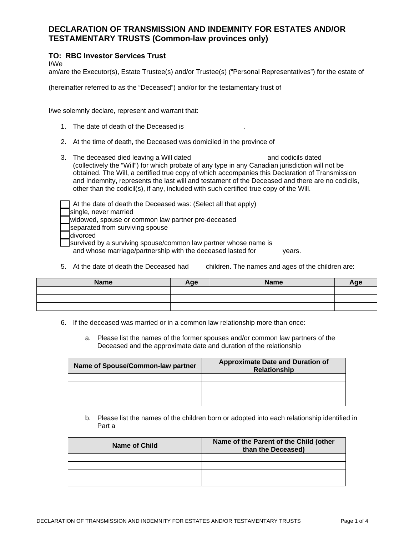## **DECLARATION OF TRANSMISSION AND INDEMNITY FOR ESTATES AND/OR TESTAMENTARY TRUSTS (Common-law provinces only)**

## **TO: RBC Investor Services Trust**

I/We

am/are the Executor(s), Estate Trustee(s) and/or Trustee(s) ("Personal Representatives") for the estate of

(hereinafter referred to as the "Deceased") and/or for the testamentary trust of

I/we solemnly declare, represent and warrant that:

- 1. The date of death of the Deceased is
- 2. At the time of death, the Deceased was domiciled in the province of
- 3. The deceased died leaving a Will dated and codicils dated and codicils dated (collectively the "Will") for which probate of any type in any Canadian jurisdiction will not be obtained. The Will, a certified true copy of which accompanies this Declaration of Transmission and Indemnity, represents the last will and testament of the Deceased and there are no codicils, other than the codicil(s), if any, included with such certified true copy of the Will.

At the date of death the Deceased was: (Select all that apply) single, never married widowed, spouse or common law partner pre-deceased separated from surviving spouse divorced survived by a surviving spouse/common law partner whose name is and whose marriage/partnership with the deceased lasted for years.

5. At the date of death the Deceased had children. The names and ages of the children are:

| <b>Name</b> | Age | <b>Name</b> | Age |
|-------------|-----|-------------|-----|
|             |     |             |     |
|             |     |             |     |
|             |     |             |     |

- 6. If the deceased was married or in a common law relationship more than once:
	- a. Please list the names of the former spouses and/or common law partners of the Deceased and the approximate date and duration of the relationship

| Name of Spouse/Common-law partner | <b>Approximate Date and Duration of</b><br><b>Relationship</b> |
|-----------------------------------|----------------------------------------------------------------|
|                                   |                                                                |
|                                   |                                                                |
|                                   |                                                                |
|                                   |                                                                |

b. Please list the names of the children born or adopted into each relationship identified in Part a

| Name of Child | Name of the Parent of the Child (other<br>than the Deceased) |
|---------------|--------------------------------------------------------------|
|               |                                                              |
|               |                                                              |
|               |                                                              |
|               |                                                              |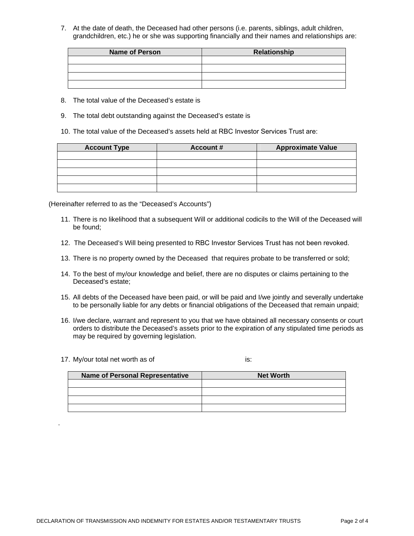7. At the date of death, the Deceased had other persons (i.e. parents, siblings, adult children, grandchildren, etc.) he or she was supporting financially and their names and relationships are:

| <b>Name of Person</b> | Relationship |
|-----------------------|--------------|
|                       |              |
|                       |              |
|                       |              |
|                       |              |

- 8. The total value of the Deceased's estate is
- 9. The total debt outstanding against the Deceased's estate is
- 10. The total value of the Deceased's assets held at RBC Investor Services Trust are:

| <b>Account Type</b> | <b>Account #</b> | <b>Approximate Value</b> |
|---------------------|------------------|--------------------------|
|                     |                  |                          |
|                     |                  |                          |
|                     |                  |                          |
|                     |                  |                          |
|                     |                  |                          |

(Hereinafter referred to as the "Deceased's Accounts")

- 11. There is no likelihood that a subsequent Will or additional codicils to the Will of the Deceased will be found;
- 12. The Deceased's Will being presented to RBC Investor Services Trust has not been revoked.
- 13. There is no property owned by the Deceased that requires probate to be transferred or sold;
- 14. To the best of my/our knowledge and belief, there are no disputes or claims pertaining to the Deceased's estate;
- 15. All debts of the Deceased have been paid, or will be paid and I/we jointly and severally undertake to be personally liable for any debts or financial obligations of the Deceased that remain unpaid;
- 16. I/we declare, warrant and represent to you that we have obtained all necessary consents or court orders to distribute the Deceased's assets prior to the expiration of any stipulated time periods as may be required by governing legislation.
- 17. My/our total net worth as of is:

<span id="page-1-0"></span>.

| <b>Name of Personal Representative</b> | <b>Net Worth</b> |
|----------------------------------------|------------------|
|                                        |                  |
|                                        |                  |
|                                        |                  |
|                                        |                  |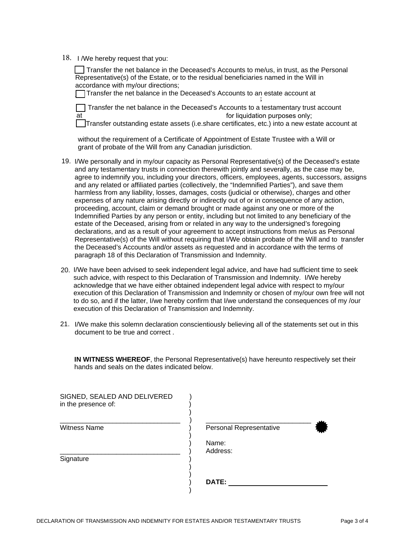18. I /We hereby request that you:

\_\_ Transfer the net balance in the Deceased's Accounts to me/us, in trust, as the Personal Representative(s) of the Estate, or to the residual beneficiaries named in the Will in accordance with my/our directions;

\_\_ Transfer the net balance in the Deceased's Accounts to an estate account at ;

 $\Box$  Transfer the net balance in the Deceased's Accounts to a testamentary trust account at at the state of the state of the formulation purposes only;

\_\_ Transfer outstanding estate assets (i.e.share certificates, etc.) into a new estate account at

without the requirement of a Certificate of Appointment of Estate Trustee with a Will or grant of probate of the Will from any Canadian jurisdiction.

- 19. I/We personally and in my/our capacity as Personal Representative(s) of the Deceased's estate and any testamentary trusts in connection therewith jointly and severally, as the case may be, agree to indemnify you, including your directors, officers, employees, agents, successors, assigns and any related or affiliated parties (collectively, the "Indemnified Parties"), and save them harmless from any liability, losses, damages, costs (judicial or otherwise), charges and other expenses of any nature arising directly or indirectly out of or in consequence of any action, proceeding, account, claim or demand brought or made against any one or more of the Indemnified Parties by any person or entity, including but not limited to any beneficiary of the estate of the Deceased, arising from or related in any way to the undersigned's foregoing declarations, and as a result of your agreement to accept instructions from me/us as Personal Representative(s) of the Will without requiring that I/We obtain probate of the Will and to transfer the Deceased's Accounts and/or assets as requested and in accordance with the terms of paragraph 18 of this Declaration of Transmission and Indemnity.
- 20. I/We have been advised to seek independent legal advice, and have had sufficient time to seek such advice, with respect to this Declaration of Transmission and Indemnity. I/We hereby acknowledge that we have either obtained independent legal advice with respect to my/our execution of this Declaration of Transmission and Indemnity or chosen of my/our own free will not to do so, and if the latter, I/we hereby confirm that I/we understand the consequences of my /our execution of this Declaration of Transmission and Indemnity.
- 21. I/We make this solemn declaration conscientiously believing all of the statements set out in this document to be true and correct .

**IN WITNESS WHEREOF**, the Personal Representative(s) have hereunto respectively set their hands and seals on the dates indicated below.

| SIGNED, SEALED AND DELIVERED<br>in the presence of: |                         |  |
|-----------------------------------------------------|-------------------------|--|
| <b>Witness Name</b>                                 | Personal Representative |  |
| Signature                                           | Name:<br>Address:       |  |
|                                                     | DATE:                   |  |